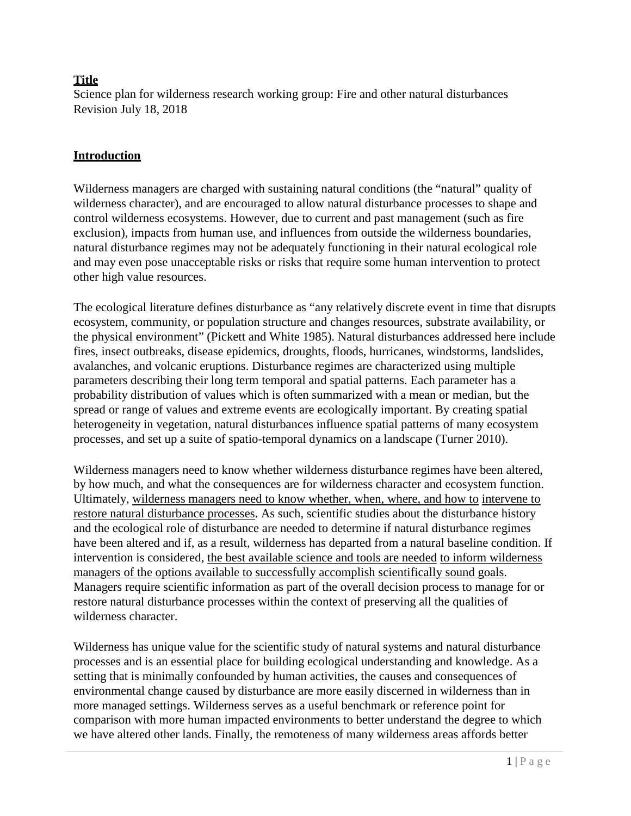# **Title**

Science plan for wilderness research working group: Fire and other natural disturbances Revision July 18, 2018

## **Introduction**

Wilderness managers are charged with sustaining natural conditions (the "natural" quality of wilderness character), and are encouraged to allow natural disturbance processes to shape and control wilderness ecosystems. However, due to current and past management (such as fire exclusion), impacts from human use, and influences from outside the wilderness boundaries, natural disturbance regimes may not be adequately functioning in their natural ecological role and may even pose unacceptable risks or risks that require some human intervention to protect other high value resources.

The ecological literature defines disturbance as "any relatively discrete event in time that disrupts ecosystem, community, or population structure and changes resources, substrate availability, or the physical environment" (Pickett and White 1985). Natural disturbances addressed here include fires, insect outbreaks, disease epidemics, droughts, floods, hurricanes, windstorms, landslides, avalanches, and volcanic eruptions. Disturbance regimes are characterized using multiple parameters describing their long term temporal and spatial patterns. Each parameter has a probability distribution of values which is often summarized with a mean or median, but the spread or range of values and extreme events are ecologically important. By creating spatial heterogeneity in vegetation, natural disturbances influence spatial patterns of many ecosystem processes, and set up a suite of spatio-temporal dynamics on a landscape (Turner 2010).

Wilderness managers need to know whether wilderness disturbance regimes have been altered, by how much, and what the consequences are for wilderness character and ecosystem function. Ultimately, wilderness managers need to know whether, when, where, and how to intervene to restore natural disturbance processes. As such, scientific studies about the disturbance history and the ecological role of disturbance are needed to determine if natural disturbance regimes have been altered and if, as a result, wilderness has departed from a natural baseline condition. If intervention is considered, the best available science and tools are needed to inform wilderness managers of the options available to successfully accomplish scientifically sound goals. Managers require scientific information as part of the overall decision process to manage for or restore natural disturbance processes within the context of preserving all the qualities of wilderness character.

Wilderness has unique value for the scientific study of natural systems and natural disturbance processes and is an essential place for building ecological understanding and knowledge. As a setting that is minimally confounded by human activities, the causes and consequences of environmental change caused by disturbance are more easily discerned in wilderness than in more managed settings. Wilderness serves as a useful benchmark or reference point for comparison with more human impacted environments to better understand the degree to which we have altered other lands. Finally, the remoteness of many wilderness areas affords better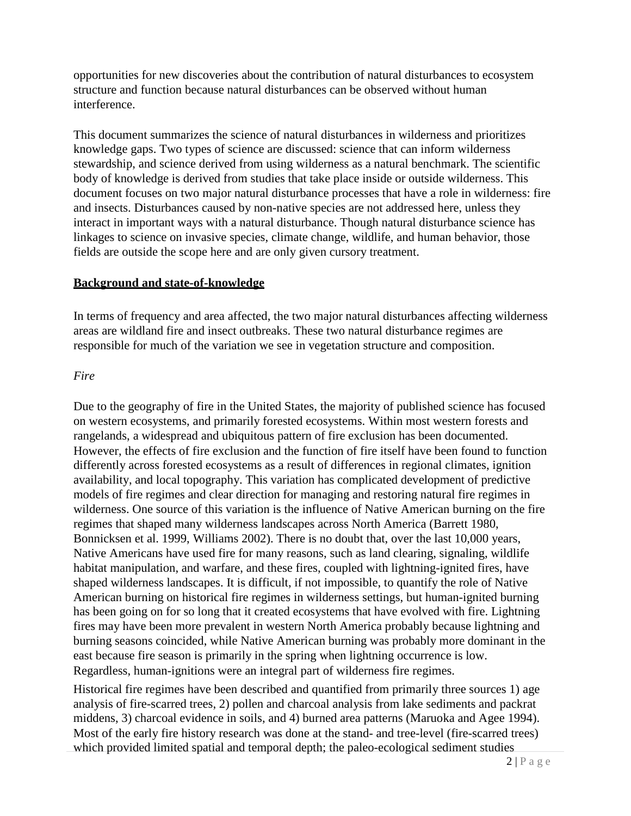opportunities for new discoveries about the contribution of natural disturbances to ecosystem structure and function because natural disturbances can be observed without human interference.

This document summarizes the science of natural disturbances in wilderness and prioritizes knowledge gaps. Two types of science are discussed: science that can inform wilderness stewardship, and science derived from using wilderness as a natural benchmark. The scientific body of knowledge is derived from studies that take place inside or outside wilderness. This document focuses on two major natural disturbance processes that have a role in wilderness: fire and insects. Disturbances caused by non-native species are not addressed here, unless they interact in important ways with a natural disturbance. Though natural disturbance science has linkages to science on invasive species, climate change, wildlife, and human behavior, those fields are outside the scope here and are only given cursory treatment.

#### **Background and state-of-knowledge**

In terms of frequency and area affected, the two major natural disturbances affecting wilderness areas are wildland fire and insect outbreaks. These two natural disturbance regimes are responsible for much of the variation we see in vegetation structure and composition.

#### *Fire*

Due to the geography of fire in the United States, the majority of published science has focused on western ecosystems, and primarily forested ecosystems. Within most western forests and rangelands, a widespread and ubiquitous pattern of fire exclusion has been documented. However, the effects of fire exclusion and the function of fire itself have been found to function differently across forested ecosystems as a result of differences in regional climates, ignition availability, and local topography. This variation has complicated development of predictive models of fire regimes and clear direction for managing and restoring natural fire regimes in wilderness. One source of this variation is the influence of Native American burning on the fire regimes that shaped many wilderness landscapes across North America (Barrett 1980, Bonnicksen et al. 1999, Williams 2002). There is no doubt that, over the last 10,000 years, Native Americans have used fire for many reasons, such as land clearing, signaling, wildlife habitat manipulation, and warfare, and these fires, coupled with lightning-ignited fires, have shaped wilderness landscapes. It is difficult, if not impossible, to quantify the role of Native American burning on historical fire regimes in wilderness settings, but human-ignited burning has been going on for so long that it created ecosystems that have evolved with fire. Lightning fires may have been more prevalent in western North America probably because lightning and burning seasons coincided, while Native American burning was probably more dominant in the east because fire season is primarily in the spring when lightning occurrence is low. Regardless, human-ignitions were an integral part of wilderness fire regimes.

Historical fire regimes have been described and quantified from primarily three sources 1) age analysis of fire-scarred trees, 2) pollen and charcoal analysis from lake sediments and packrat middens, 3) charcoal evidence in soils, and 4) burned area patterns (Maruoka and Agee 1994). Most of the early fire history research was done at the stand- and tree-level (fire-scarred trees) which provided limited spatial and temporal depth; the paleo-ecological sediment studies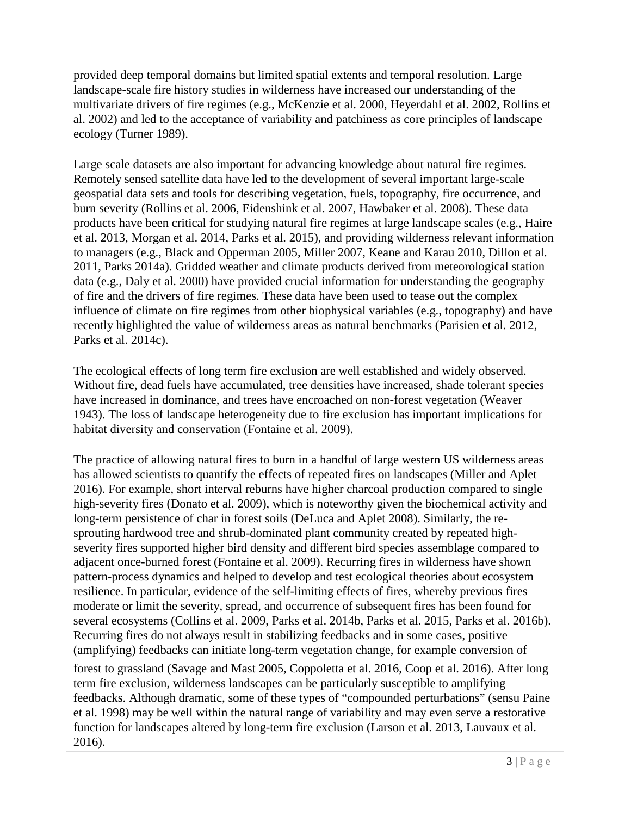provided deep temporal domains but limited spatial extents and temporal resolution. Large landscape-scale fire history studies in wilderness have increased our understanding of the multivariate drivers of fire regimes (e.g., McKenzie et al. 2000, Heyerdahl et al. 2002, Rollins et al. 2002) and led to the acceptance of variability and patchiness as core principles of landscape ecology (Turner 1989).

Large scale datasets are also important for advancing knowledge about natural fire regimes. Remotely sensed satellite data have led to the development of several important large-scale geospatial data sets and tools for describing vegetation, fuels, topography, fire occurrence, and burn severity (Rollins et al. 2006, Eidenshink et al. 2007, Hawbaker et al. 2008). These data products have been critical for studying natural fire regimes at large landscape scales (e.g., Haire et al. 2013, Morgan et al. 2014, Parks et al. 2015), and providing wilderness relevant information to managers (e.g., Black and Opperman 2005, Miller 2007, Keane and Karau 2010, Dillon et al. 2011, Parks 2014a). Gridded weather and climate products derived from meteorological station data (e.g., Daly et al. 2000) have provided crucial information for understanding the geography of fire and the drivers of fire regimes. These data have been used to tease out the complex influence of climate on fire regimes from other biophysical variables (e.g., topography) and have recently highlighted the value of wilderness areas as natural benchmarks (Parisien et al. 2012, Parks et al. 2014c).

The ecological effects of long term fire exclusion are well established and widely observed. Without fire, dead fuels have accumulated, tree densities have increased, shade tolerant species have increased in dominance, and trees have encroached on non-forest vegetation (Weaver 1943). The loss of landscape heterogeneity due to fire exclusion has important implications for habitat diversity and conservation (Fontaine et al. 2009).

The practice of allowing natural fires to burn in a handful of large western US wilderness areas has allowed scientists to quantify the effects of repeated fires on landscapes (Miller and Aplet 2016). For example, short interval reburns have higher charcoal production compared to single high-severity fires (Donato et al. 2009), which is noteworthy given the biochemical activity and long-term persistence of char in forest soils (DeLuca and Aplet 2008). Similarly, the resprouting hardwood tree and shrub-dominated plant community created by repeated highseverity fires supported higher bird density and different bird species assemblage compared to adjacent once-burned forest (Fontaine et al. 2009). Recurring fires in wilderness have shown pattern-process dynamics and helped to develop and test ecological theories about ecosystem resilience. In particular, evidence of the self-limiting effects of fires, whereby previous fires moderate or limit the severity, spread, and occurrence of subsequent fires has been found for several ecosystems (Collins et al. 2009, Parks et al. 2014b, Parks et al. 2015, Parks et al. 2016b). Recurring fires do not always result in stabilizing feedbacks and in some cases, positive (amplifying) feedbacks can initiate long-term vegetation change, for example conversion of

forest to grassland (Savage and Mast 2005, Coppoletta et al. 2016, Coop et al. 2016). After long term fire exclusion, wilderness landscapes can be particularly susceptible to amplifying feedbacks. Although dramatic, some of these types of "compounded perturbations" (sensu Paine et al. 1998) may be well within the natural range of variability and may even serve a restorative function for landscapes altered by long-term fire exclusion (Larson et al. 2013, Lauvaux et al. 2016).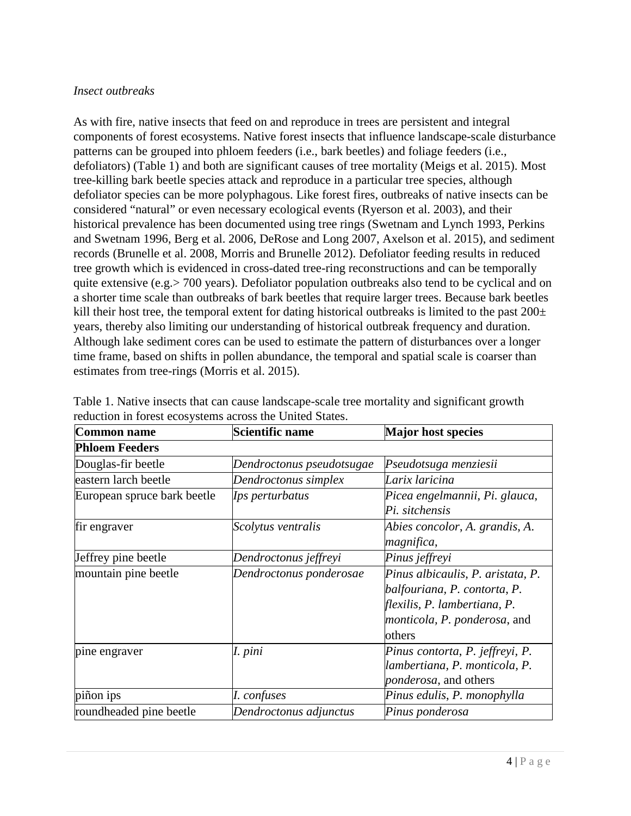#### *Insect outbreaks*

As with fire, native insects that feed on and reproduce in trees are persistent and integral components of forest ecosystems. Native forest insects that influence landscape-scale disturbance patterns can be grouped into phloem feeders (i.e., bark beetles) and foliage feeders (i.e., defoliators) (Table 1) and both are significant causes of tree mortality (Meigs et al. 2015). Most tree-killing bark beetle species attack and reproduce in a particular tree species, although defoliator species can be more polyphagous. Like forest fires, outbreaks of native insects can be considered "natural" or even necessary ecological events (Ryerson et al. 2003), and their historical prevalence has been documented using tree rings (Swetnam and Lynch 1993, Perkins and Swetnam 1996, Berg et al. 2006, DeRose and Long 2007, Axelson et al. 2015), and sediment records (Brunelle et al. 2008, Morris and Brunelle 2012). Defoliator feeding results in reduced tree growth which is evidenced in cross-dated tree-ring reconstructions and can be temporally quite extensive (e.g.> 700 years). Defoliator population outbreaks also tend to be cyclical and on a shorter time scale than outbreaks of bark beetles that require larger trees. Because bark beetles kill their host tree, the temporal extent for dating historical outbreaks is limited to the past  $200\pm$ years, thereby also limiting our understanding of historical outbreak frequency and duration. Although lake sediment cores can be used to estimate the pattern of disturbances over a longer time frame, based on shifts in pollen abundance, the temporal and spatial scale is coarser than estimates from tree-rings (Morris et al. 2015).

| Common name                 | Scientific name           | <b>Major host species</b>                                                                                                                          |
|-----------------------------|---------------------------|----------------------------------------------------------------------------------------------------------------------------------------------------|
| <b>Phloem Feeders</b>       |                           |                                                                                                                                                    |
| Douglas-fir beetle          | Dendroctonus pseudotsugae | Pseudotsuga menziesii                                                                                                                              |
| eastern larch beetle        | Dendroctonus simplex      | Larix laricina                                                                                                                                     |
| European spruce bark beetle | Ips perturbatus           | Picea engelmannii, Pi. glauca,<br>Pi. sitchensis                                                                                                   |
| fir engraver                | Scolytus ventralis        | Abies concolor, A. grandis, A.<br>magnifica,                                                                                                       |
| Jeffrey pine beetle         | Dendroctonus jeffreyi     | Pinus jeffreyi                                                                                                                                     |
| mountain pine beetle        | Dendroctonus ponderosae   | Pinus albicaulis, P. aristata, P.<br>balfouriana, P. contorta, P.<br>flexilis, P. lambertiana, P.<br><i>monticola, P. ponderosa, and</i><br>others |
| pine engraver               | I. pini                   | Pinus contorta, P. jeffreyi, P.<br>lambertiana, P. monticola, P.<br><i>ponderosa</i> , and others                                                  |
| piñon ips                   | I. confuses               | Pinus edulis, P. monophylla                                                                                                                        |
| roundheaded pine beetle     | Dendroctonus adjunctus    | Pinus ponderosa                                                                                                                                    |

Table 1. Native insects that can cause landscape-scale tree mortality and significant growth reduction in forest ecosystems across the United States.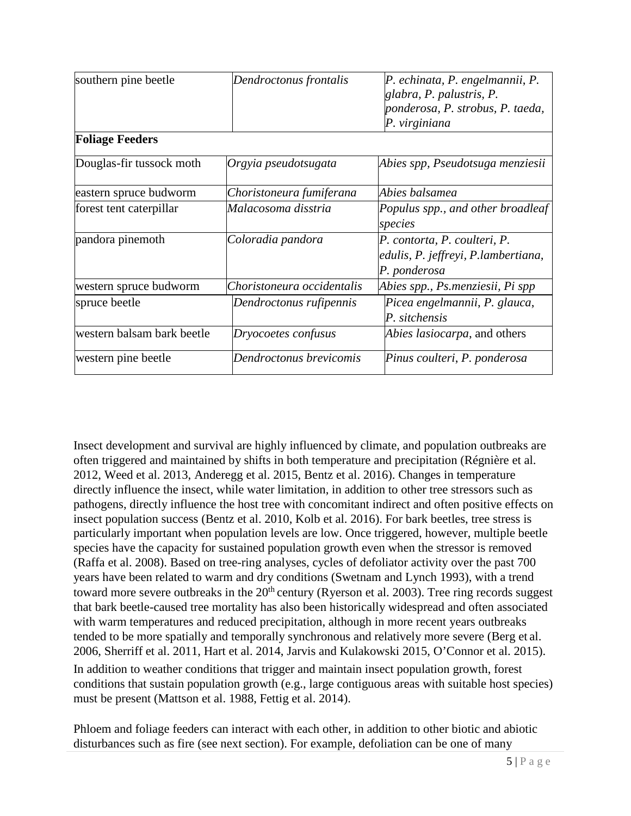| southern pine beetle       | Dendroctonus frontalis     | P. echinata, P. engelmannii, P.<br>glabra, P. palustris, P.<br>ponderosa, P. strobus, P. taeda,<br>P. virginiana |
|----------------------------|----------------------------|------------------------------------------------------------------------------------------------------------------|
| <b>Foliage Feeders</b>     |                            |                                                                                                                  |
| Douglas-fir tussock moth   | Orgyia pseudotsugata       | Abies spp, Pseudotsuga menziesii                                                                                 |
| eastern spruce budworm     | Choristoneura fumiferana   | Abies balsamea                                                                                                   |
| forest tent caterpillar    | Malacosoma disstria        | Populus spp., and other broadleaf<br>species                                                                     |
| pandora pinemoth           | Coloradia pandora          | P. contorta, P. coulteri, P.<br>edulis, P. jeffreyi, P.lambertiana,<br>P. ponderosa                              |
| western spruce budworm     | Choristoneura occidentalis | Abies spp., Ps.menziesii, Pi spp                                                                                 |
| spruce beetle              | Dendroctonus rufipennis    | Picea engelmannii, P. glauca,<br>P. sitchensis                                                                   |
| western balsam bark beetle | Dryocoetes confusus        | <i>Abies lasiocarpa</i> , and others                                                                             |
| western pine beetle        | Dendroctonus brevicomis    | Pinus coulteri, P. ponderosa                                                                                     |

Insect development and survival are highly influenced by climate, and population outbreaks are often triggered and maintained by shifts in both temperature and precipitation (Régnière et al. 2012, Weed et al. 2013, Anderegg et al. 2015, Bentz et al. 2016). Changes in temperature directly influence the insect, while water limitation, in addition to other tree stressors such as pathogens, directly influence the host tree with concomitant indirect and often positive effects on insect population success (Bentz et al. 2010, Kolb et al. 2016). For bark beetles, tree stress is particularly important when population levels are low. Once triggered, however, multiple beetle species have the capacity for sustained population growth even when the stressor is removed (Raffa et al. 2008). Based on tree-ring analyses, cycles of defoliator activity over the past 700 years have been related to warm and dry conditions (Swetnam and Lynch 1993), with a trend toward more severe outbreaks in the  $20<sup>th</sup>$  century (Ryerson et al. 2003). Tree ring records suggest that bark beetle-caused tree mortality has also been historically widespread and often associated with warm temperatures and reduced precipitation, although in more recent years outbreaks tended to be more spatially and temporally synchronous and relatively more severe (Berg et al. 2006, Sherriff et al. 2011, Hart et al. 2014, Jarvis and Kulakowski 2015, O'Connor et al. 2015). In addition to weather conditions that trigger and maintain insect population growth, forest conditions that sustain population growth (e.g., large contiguous areas with suitable host species) must be present (Mattson et al. 1988, Fettig et al. 2014).

Phloem and foliage feeders can interact with each other, in addition to other biotic and abiotic disturbances such as fire (see next section). For example, defoliation can be one of many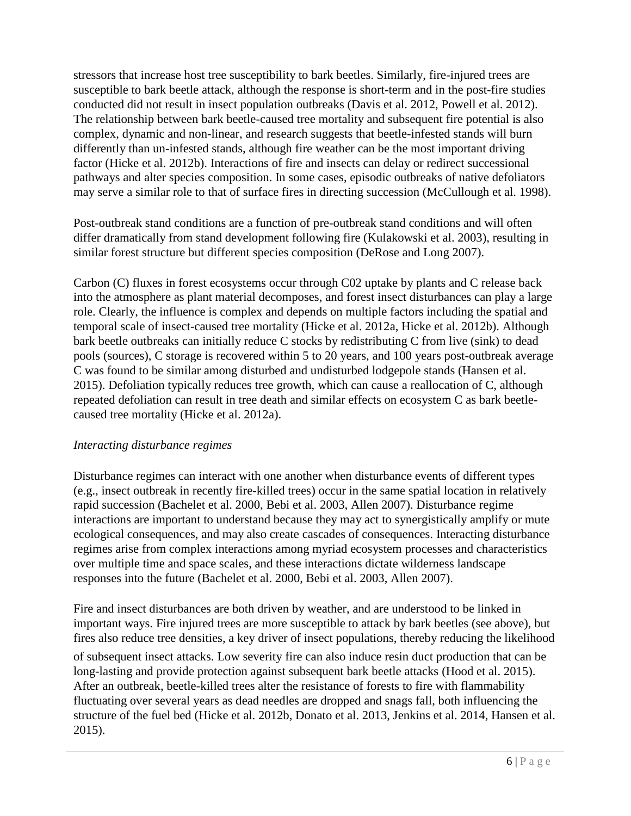stressors that increase host tree susceptibility to bark beetles. Similarly, fire-injured trees are susceptible to bark beetle attack, although the response is short-term and in the post-fire studies conducted did not result in insect population outbreaks (Davis et al. 2012, Powell et al. 2012). The relationship between bark beetle-caused tree mortality and subsequent fire potential is also complex, dynamic and non-linear, and research suggests that beetle-infested stands will burn differently than un-infested stands, although fire weather can be the most important driving factor (Hicke et al. 2012b). Interactions of fire and insects can delay or redirect successional pathways and alter species composition. In some cases, episodic outbreaks of native defoliators may serve a similar role to that of surface fires in directing succession (McCullough et al. 1998).

Post-outbreak stand conditions are a function of pre-outbreak stand conditions and will often differ dramatically from stand development following fire (Kulakowski et al. 2003), resulting in similar forest structure but different species composition (DeRose and Long 2007).

Carbon (C) fluxes in forest ecosystems occur through C02 uptake by plants and C release back into the atmosphere as plant material decomposes, and forest insect disturbances can play a large role. Clearly, the influence is complex and depends on multiple factors including the spatial and temporal scale of insect-caused tree mortality (Hicke et al. 2012a, Hicke et al. 2012b). Although bark beetle outbreaks can initially reduce C stocks by redistributing C from live (sink) to dead pools (sources), C storage is recovered within 5 to 20 years, and 100 years post-outbreak average C was found to be similar among disturbed and undisturbed lodgepole stands (Hansen et al. 2015). Defoliation typically reduces tree growth, which can cause a reallocation of C, although repeated defoliation can result in tree death and similar effects on ecosystem C as bark beetlecaused tree mortality (Hicke et al. 2012a).

### *Interacting disturbance regimes*

Disturbance regimes can interact with one another when disturbance events of different types (e.g., insect outbreak in recently fire-killed trees) occur in the same spatial location in relatively rapid succession (Bachelet et al. 2000, Bebi et al. 2003, Allen 2007). Disturbance regime interactions are important to understand because they may act to synergistically amplify or mute ecological consequences, and may also create cascades of consequences. Interacting disturbance regimes arise from complex interactions among myriad ecosystem processes and characteristics over multiple time and space scales, and these interactions dictate wilderness landscape responses into the future (Bachelet et al. 2000, Bebi et al. 2003, Allen 2007).

Fire and insect disturbances are both driven by weather, and are understood to be linked in important ways. Fire injured trees are more susceptible to attack by bark beetles (see above), but fires also reduce tree densities, a key driver of insect populations, thereby reducing the likelihood

of subsequent insect attacks. Low severity fire can also induce resin duct production that can be long-lasting and provide protection against subsequent bark beetle attacks (Hood et al. 2015). After an outbreak, beetle-killed trees alter the resistance of forests to fire with flammability fluctuating over several years as dead needles are dropped and snags fall, both influencing the structure of the fuel bed (Hicke et al. 2012b, Donato et al. 2013, Jenkins et al. 2014, Hansen et al. 2015).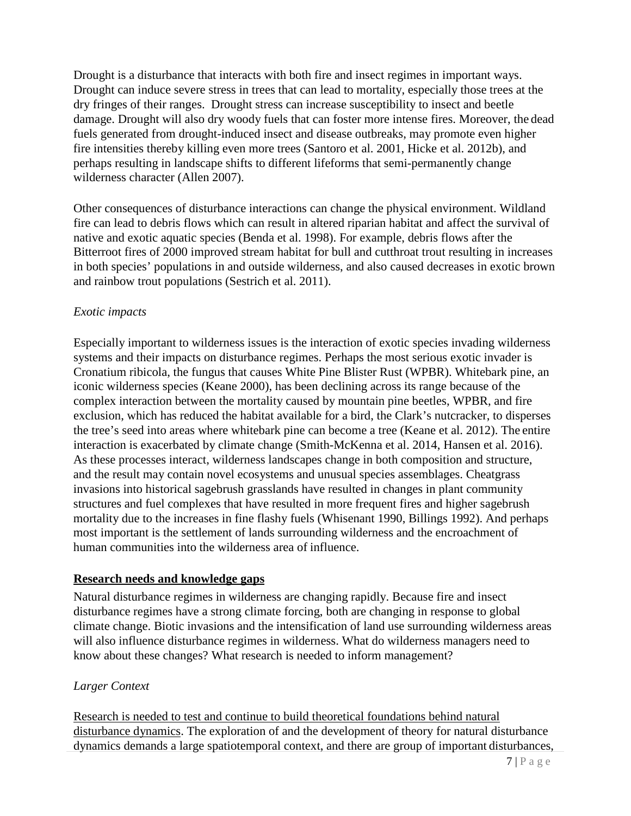Drought is a disturbance that interacts with both fire and insect regimes in important ways. Drought can induce severe stress in trees that can lead to mortality, especially those trees at the dry fringes of their ranges. Drought stress can increase susceptibility to insect and beetle damage. Drought will also dry woody fuels that can foster more intense fires. Moreover, the dead fuels generated from drought-induced insect and disease outbreaks, may promote even higher fire intensities thereby killing even more trees (Santoro et al. 2001, Hicke et al. 2012b), and perhaps resulting in landscape shifts to different lifeforms that semi-permanently change wilderness character (Allen 2007).

Other consequences of disturbance interactions can change the physical environment. Wildland fire can lead to debris flows which can result in altered riparian habitat and affect the survival of native and exotic aquatic species (Benda et al. 1998). For example, debris flows after the Bitterroot fires of 2000 improved stream habitat for bull and cutthroat trout resulting in increases in both species' populations in and outside wilderness, and also caused decreases in exotic brown and rainbow trout populations (Sestrich et al. 2011).

### *Exotic impacts*

Especially important to wilderness issues is the interaction of exotic species invading wilderness systems and their impacts on disturbance regimes. Perhaps the most serious exotic invader is Cronatium ribicola, the fungus that causes White Pine Blister Rust (WPBR). Whitebark pine, an iconic wilderness species (Keane 2000), has been declining across its range because of the complex interaction between the mortality caused by mountain pine beetles, WPBR, and fire exclusion, which has reduced the habitat available for a bird, the Clark's nutcracker, to disperses the tree's seed into areas where whitebark pine can become a tree (Keane et al. 2012). The entire interaction is exacerbated by climate change (Smith-McKenna et al. 2014, Hansen et al. 2016). As these processes interact, wilderness landscapes change in both composition and structure, and the result may contain novel ecosystems and unusual species assemblages. Cheatgrass invasions into historical sagebrush grasslands have resulted in changes in plant community structures and fuel complexes that have resulted in more frequent fires and higher sagebrush mortality due to the increases in fine flashy fuels (Whisenant 1990, Billings 1992). And perhaps most important is the settlement of lands surrounding wilderness and the encroachment of human communities into the wilderness area of influence.

### **Research needs and knowledge gaps**

Natural disturbance regimes in wilderness are changing rapidly. Because fire and insect disturbance regimes have a strong climate forcing, both are changing in response to global climate change. Biotic invasions and the intensification of land use surrounding wilderness areas will also influence disturbance regimes in wilderness. What do wilderness managers need to know about these changes? What research is needed to inform management?

# *Larger Context*

Research is needed to test and continue to build theoretical foundations behind natural disturbance dynamics. The exploration of and the development of theory for natural disturbance dynamics demands a large spatiotemporal context, and there are group of important disturbances,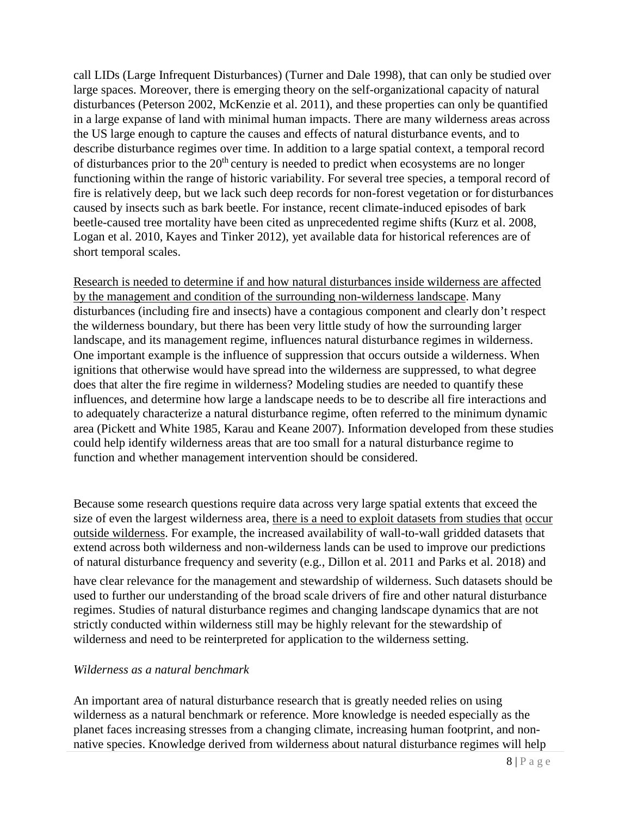call LIDs (Large Infrequent Disturbances) (Turner and Dale 1998), that can only be studied over large spaces. Moreover, there is emerging theory on the self-organizational capacity of natural disturbances (Peterson 2002, McKenzie et al. 2011), and these properties can only be quantified in a large expanse of land with minimal human impacts. There are many wilderness areas across the US large enough to capture the causes and effects of natural disturbance events, and to describe disturbance regimes over time. In addition to a large spatial context, a temporal record of disturbances prior to the  $20<sup>th</sup>$  century is needed to predict when ecosystems are no longer functioning within the range of historic variability. For several tree species, a temporal record of fire is relatively deep, but we lack such deep records for non-forest vegetation or for disturbances caused by insects such as bark beetle. For instance, recent climate-induced episodes of bark beetle-caused tree mortality have been cited as unprecedented regime shifts (Kurz et al. 2008, Logan et al. 2010, Kayes and Tinker 2012), yet available data for historical references are of short temporal scales.

Research is needed to determine if and how natural disturbances inside wilderness are affected by the management and condition of the surrounding non-wilderness landscape. Many disturbances (including fire and insects) have a contagious component and clearly don't respect the wilderness boundary, but there has been very little study of how the surrounding larger landscape, and its management regime, influences natural disturbance regimes in wilderness. One important example is the influence of suppression that occurs outside a wilderness. When ignitions that otherwise would have spread into the wilderness are suppressed, to what degree does that alter the fire regime in wilderness? Modeling studies are needed to quantify these influences, and determine how large a landscape needs to be to describe all fire interactions and to adequately characterize a natural disturbance regime, often referred to the minimum dynamic area (Pickett and White 1985, Karau and Keane 2007). Information developed from these studies could help identify wilderness areas that are too small for a natural disturbance regime to function and whether management intervention should be considered.

Because some research questions require data across very large spatial extents that exceed the size of even the largest wilderness area, there is a need to exploit datasets from studies that occur outside wilderness. For example, the increased availability of wall-to-wall gridded datasets that extend across both wilderness and non-wilderness lands can be used to improve our predictions of natural disturbance frequency and severity (e.g., Dillon et al. 2011 and Parks et al. 2018) and have clear relevance for the management and stewardship of wilderness. Such datasets should be used to further our understanding of the broad scale drivers of fire and other natural disturbance regimes. Studies of natural disturbance regimes and changing landscape dynamics that are not strictly conducted within wilderness still may be highly relevant for the stewardship of wilderness and need to be reinterpreted for application to the wilderness setting.

#### *Wilderness as a natural benchmark*

An important area of natural disturbance research that is greatly needed relies on using wilderness as a natural benchmark or reference. More knowledge is needed especially as the planet faces increasing stresses from a changing climate, increasing human footprint, and nonnative species. Knowledge derived from wilderness about natural disturbance regimes will help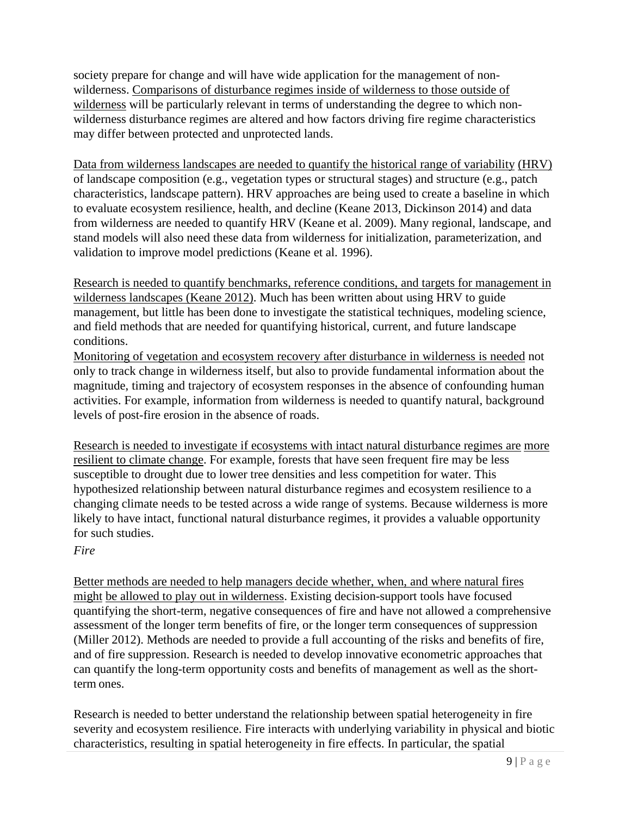society prepare for change and will have wide application for the management of nonwilderness. Comparisons of disturbance regimes inside of wilderness to those outside of wilderness will be particularly relevant in terms of understanding the degree to which nonwilderness disturbance regimes are altered and how factors driving fire regime characteristics may differ between protected and unprotected lands.

Data from wilderness landscapes are needed to quantify the historical range of variability (HRV) of landscape composition (e.g., vegetation types or structural stages) and structure (e.g., patch characteristics, landscape pattern). HRV approaches are being used to create a baseline in which to evaluate ecosystem resilience, health, and decline (Keane 2013, Dickinson 2014) and data from wilderness are needed to quantify HRV (Keane et al. 2009). Many regional, landscape, and stand models will also need these data from wilderness for initialization, parameterization, and validation to improve model predictions (Keane et al. 1996).

Research is needed to quantify benchmarks, reference conditions, and targets for management in wilderness landscapes (Keane 2012). Much has been written about using HRV to guide management, but little has been done to investigate the statistical techniques, modeling science, and field methods that are needed for quantifying historical, current, and future landscape conditions.

Monitoring of vegetation and ecosystem recovery after disturbance in wilderness is needed not only to track change in wilderness itself, but also to provide fundamental information about the magnitude, timing and trajectory of ecosystem responses in the absence of confounding human activities. For example, information from wilderness is needed to quantify natural, background levels of post-fire erosion in the absence of roads.

Research is needed to investigate if ecosystems with intact natural disturbance regimes are more resilient to climate change. For example, forests that have seen frequent fire may be less susceptible to drought due to lower tree densities and less competition for water. This hypothesized relationship between natural disturbance regimes and ecosystem resilience to a changing climate needs to be tested across a wide range of systems. Because wilderness is more likely to have intact, functional natural disturbance regimes, it provides a valuable opportunity for such studies.

# *Fire*

Better methods are needed to help managers decide whether, when, and where natural fires might be allowed to play out in wilderness. Existing decision-support tools have focused quantifying the short-term, negative consequences of fire and have not allowed a comprehensive assessment of the longer term benefits of fire, or the longer term consequences of suppression (Miller 2012). Methods are needed to provide a full accounting of the risks and benefits of fire, and of fire suppression. Research is needed to develop innovative econometric approaches that can quantify the long-term opportunity costs and benefits of management as well as the shortterm ones.

Research is needed to better understand the relationship between spatial heterogeneity in fire severity and ecosystem resilience. Fire interacts with underlying variability in physical and biotic characteristics, resulting in spatial heterogeneity in fire effects. In particular, the spatial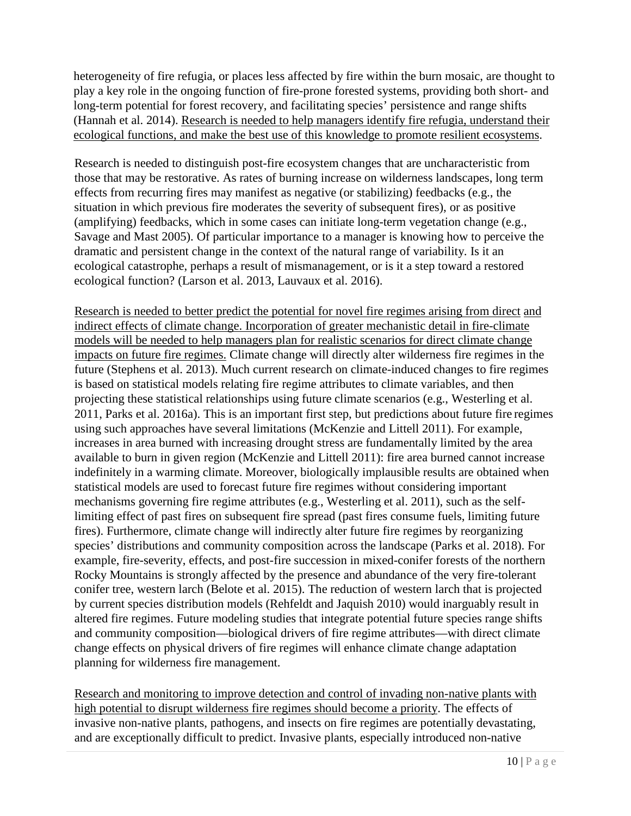heterogeneity of fire refugia, or places less affected by fire within the burn mosaic, are thought to play a key role in the ongoing function of fire-prone forested systems, providing both short- and long-term potential for forest recovery, and facilitating species' persistence and range shifts [\(Hannah et al. 2014\). R](https://www.researchgate.net/publication/262787569_Fine-grain_modeling_of_species_response_to_climate_change_Holdouts_stepping-stones_and_microrefugia)esearch is needed to help managers identify fire refugia, understand their ecological functions, and make the best use of this knowledge to promote resilient ecosystems.

Research is needed to distinguish post-fire ecosystem changes that are uncharacteristic from those that may be restorative. As rates of burning increase on wilderness landscapes, long term effects from recurring fires may manifest as negative (or stabilizing) feedbacks (e.g., the situation in which previous fire moderates the severity of subsequent fires), or as positive (amplifying) feedbacks, which in some cases can initiate long-term vegetation change (e.g., Savage and Mast 2005). Of particular importance to a manager is knowing how to perceive the dramatic and persistent change in the context of the natural range of variability. Is it an ecological catastrophe, perhaps a result of mismanagement, or is it a step toward a restored ecological function? (Larson et al. 2013, Lauvaux et al. 2016).

Research is needed to better predict the potential for novel fire regimes arising from direct and indirect effects of climate change. Incorporation of greater mechanistic detail in fire-climate models will be needed to help managers plan for realistic scenarios for direct climate change impacts on future fire regimes. Climate change will directly alter wilderness fire regimes in the future (Stephens et al. 2013). Much current research on climate-induced changes to fire regimes is based on statistical models relating fire regime attributes to climate variables, and then projecting these statistical relationships using future climate scenarios (e.g., Westerling et al. 2011, Parks et al. 2016a). This is an important first step, but predictions about future fire regimes using such approaches have several limitations (McKenzie and Littell 2011). For example, increases in area burned with increasing drought stress are fundamentally limited by the area available to burn in given region (McKenzie and Littell 2011): fire area burned cannot increase indefinitely in a warming climate. Moreover, biologically implausible results are obtained when statistical models are used to forecast future fire regimes without considering important mechanisms governing fire regime attributes (e.g., Westerling et al. 2011), such as the selflimiting effect of past fires on subsequent fire spread (past fires consume fuels, limiting future fires). Furthermore, climate change will indirectly alter future fire regimes by reorganizing species' distributions and community composition across the landscape (Parks et al. 2018). For example, fire-severity, effects, and post-fire succession in mixed-conifer forests of the northern Rocky Mountains is strongly affected by the presence and abundance of the very fire-tolerant conifer tree, western larch (Belote et al. 2015). The reduction of western larch that is projected by current species distribution models (Rehfeldt and Jaquish 2010) would inarguably result in altered fire regimes. Future modeling studies that integrate potential future species range shifts and community composition—biological drivers of fire regime attributes—with direct climate change effects on physical drivers of fire regimes will enhance climate change adaptation planning for wilderness fire management.

Research and monitoring to improve detection and control of invading non-native plants with high potential to disrupt wilderness fire regimes should become a priority. The effects of invasive non-native plants, pathogens, and insects on fire regimes are potentially devastating, and are exceptionally difficult to predict. Invasive plants, especially introduced non-native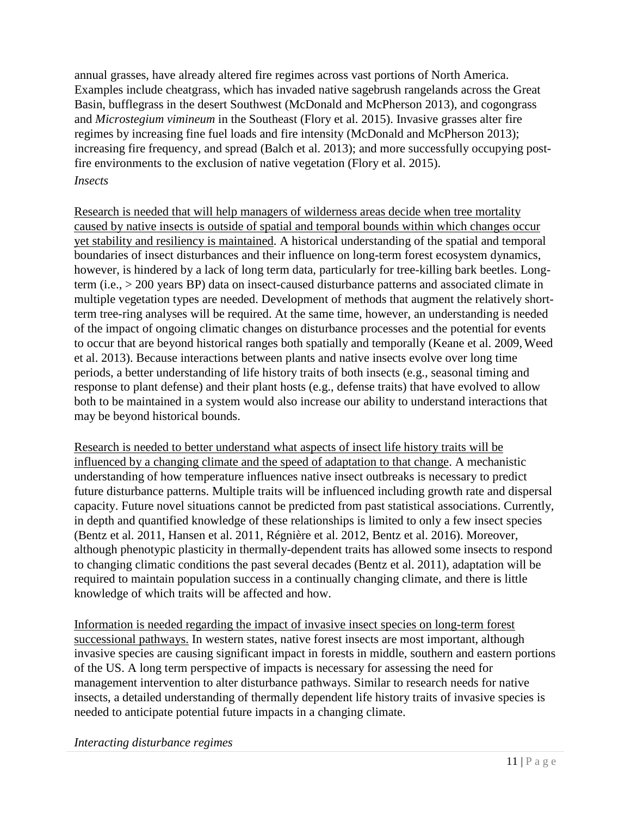annual grasses, have already altered fire regimes across vast portions of North America. Examples include cheatgrass, which has invaded native sagebrush rangelands across the Great Basin, bufflegrass in the desert Southwest (McDonald and McPherson 2013), and cogongrass and *Microstegium vimineum* in the Southeast (Flory et al. 2015). Invasive grasses alter fire regimes by increasing fine fuel loads and fire intensity (McDonald and McPherson 2013); increasing fire frequency, and spread (Balch et al. 2013); and more successfully occupying postfire environments to the exclusion of native vegetation (Flory et al. 2015).

## *Insects*

Research is needed that will help managers of wilderness areas decide when tree mortality caused by native insects is outside of spatial and temporal bounds within which changes occur yet stability and resiliency is maintained. A historical understanding of the spatial and temporal boundaries of insect disturbances and their influence on long-term forest ecosystem dynamics, however, is hindered by a lack of long term data, particularly for tree-killing bark beetles. Longterm (i.e., > 200 years BP) data on insect-caused disturbance patterns and associated climate in multiple vegetation types are needed. Development of methods that augment the relatively shortterm tree-ring analyses will be required. At the same time, however, an understanding is needed of the impact of ongoing climatic changes on disturbance processes and the potential for events to occur that are beyond historical ranges both spatially and temporally (Keane et al. 2009,Weed et al. 2013). Because interactions between plants and native insects evolve over long time periods, a better understanding of life history traits of both insects (e.g., seasonal timing and response to plant defense) and their plant hosts (e.g., defense traits) that have evolved to allow both to be maintained in a system would also increase our ability to understand interactions that may be beyond historical bounds.

Research is needed to better understand what aspects of insect life history traits will be influenced by a changing climate and the speed of adaptation to that change. A mechanistic understanding of how temperature influences native insect outbreaks is necessary to predict future disturbance patterns. Multiple traits will be influenced including growth rate and dispersal capacity. Future novel situations cannot be predicted from past statistical associations. Currently, in depth and quantified knowledge of these relationships is limited to only a few insect species (Bentz et al. 2011, Hansen et al. 2011, Régnière et al. 2012, Bentz et al. 2016). Moreover, although phenotypic plasticity in thermally-dependent traits has allowed some insects to respond to changing climatic conditions the past several decades (Bentz et al. 2011), adaptation will be required to maintain population success in a continually changing climate, and there is little knowledge of which traits will be affected and how.

Information is needed regarding the impact of invasive insect species on long-term forest successional pathways. In western states, native forest insects are most important, although invasive species are causing significant impact in forests in middle, southern and eastern portions of the US. A long term perspective of impacts is necessary for assessing the need for management intervention to alter disturbance pathways. Similar to research needs for native insects, a detailed understanding of thermally dependent life history traits of invasive species is needed to anticipate potential future impacts in a changing climate.

*Interacting disturbance regimes*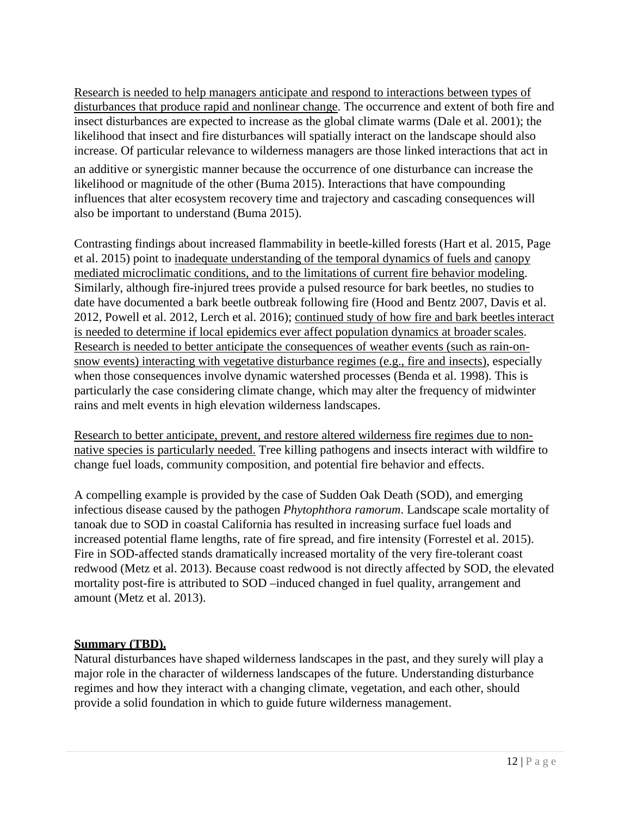Research is needed to help managers anticipate and respond to interactions between types of disturbances that produce rapid and nonlinear change. The occurrence and extent of both fire and insect disturbances are expected to increase as the global climate warms (Dale et al. 2001); the likelihood that insect and fire disturbances will spatially interact on the landscape should also increase. Of particular relevance to wilderness managers are those linked interactions that act in

an additive or synergistic manner because the occurrence of one disturbance can increase the likelihood or magnitude of the other (Buma 2015). Interactions that have compounding influences that alter ecosystem recovery time and trajectory and cascading consequences will also be important to understand (Buma 2015).

Contrasting findings about increased flammability in beetle-killed forests (Hart et al. 2015, Page et al. 2015) point to inadequate understanding of the temporal dynamics of fuels and canopy mediated microclimatic conditions, and to the limitations of current fire behavior modeling. Similarly, although fire-injured trees provide a pulsed resource for bark beetles, no studies to date have documented a bark beetle outbreak following fire (Hood and Bentz 2007, Davis et al. 2012, Powell et al. 2012, Lerch et al. 2016); continued study of how fire and bark beetlesinteract is needed to determine if local epidemics ever affect population dynamics at broader scales. Research is needed to better anticipate the consequences of weather events (such as rain-onsnow events) interacting with vegetative disturbance regimes (e.g., fire and insects), especially when those consequences involve dynamic watershed processes (Benda et al. 1998). This is particularly the case considering climate change, which may alter the frequency of midwinter rains and melt events in high elevation wilderness landscapes.

Research to better anticipate, prevent, and restore altered wilderness fire regimes due to nonnative species is particularly needed. Tree killing pathogens and insects interact with wildfire to change fuel loads, community composition, and potential fire behavior and effects.

A compelling example is provided by the case of Sudden Oak Death (SOD), and emerging infectious disease caused by the pathogen *Phytophthora ramorum*. Landscape scale mortality of tanoak due to SOD in coastal California has resulted in increasing surface fuel loads and increased potential flame lengths, rate of fire spread, and fire intensity (Forrestel et al. 2015). Fire in SOD-affected stands dramatically increased mortality of the very fire-tolerant coast redwood (Metz et al. 2013). Because coast redwood is not directly affected by SOD, the elevated mortality post-fire is attributed to SOD –induced changed in fuel quality, arrangement and amount (Metz et al. 2013).

### **Summary (TBD).**

Natural disturbances have shaped wilderness landscapes in the past, and they surely will play a major role in the character of wilderness landscapes of the future. Understanding disturbance regimes and how they interact with a changing climate, vegetation, and each other, should provide a solid foundation in which to guide future wilderness management.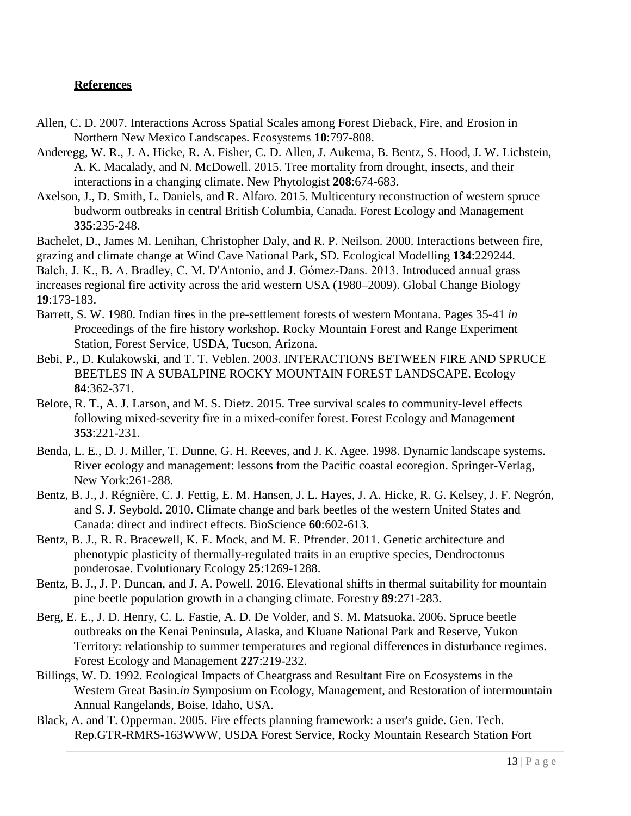### **References**

- Allen, C. D. 2007. Interactions Across Spatial Scales among Forest Dieback, Fire, and Erosion in Northern New Mexico Landscapes. Ecosystems **10**:797-808.
- Anderegg, W. R., J. A. Hicke, R. A. Fisher, C. D. Allen, J. Aukema, B. Bentz, S. Hood, J. W. Lichstein, A. K. Macalady, and N. McDowell. 2015. Tree mortality from drought, insects, and their interactions in a changing climate. New Phytologist **208**:674-683.
- Axelson, J., D. Smith, L. Daniels, and R. Alfaro. 2015. Multicentury reconstruction of western spruce budworm outbreaks in central British Columbia, Canada. Forest Ecology and Management **335**:235-248.
- Bachelet, D., James M. Lenihan, Christopher Daly, and R. P. Neilson. 2000. Interactions between fire,

grazing and climate change at Wind Cave National Park, SD. Ecological Modelling **134**:229244.

Balch, J. K., B. A. Bradley, C. M. D'Antonio, and J. Gómez‐Dans. 2013. Introduced annual grass

increases regional fire activity across the arid western USA (1980–2009). Global Change Biology **19**:173-183.

- Barrett, S. W. 1980. Indian fires in the pre-settlement forests of western Montana. Pages 35-41 *in*  Proceedings of the fire history workshop. Rocky Mountain Forest and Range Experiment Station, Forest Service, USDA, Tucson, Arizona.
- Bebi, P., D. Kulakowski, and T. T. Veblen. 2003. INTERACTIONS BETWEEN FIRE AND SPRUCE BEETLES IN A SUBALPINE ROCKY MOUNTAIN FOREST LANDSCAPE. Ecology **84**:362-371.
- Belote, R. T., A. J. Larson, and M. S. Dietz. 2015. Tree survival scales to community-level effects following mixed-severity fire in a mixed-conifer forest. Forest Ecology and Management **353**:221-231.
- Benda, L. E., D. J. Miller, T. Dunne, G. H. Reeves, and J. K. Agee. 1998. Dynamic landscape systems. River ecology and management: lessons from the Pacific coastal ecoregion. Springer-Verlag, New York:261-288.
- Bentz, B. J., J. Régnière, C. J. Fettig, E. M. Hansen, J. L. Hayes, J. A. Hicke, R. G. Kelsey, J. F. Negrón, and S. J. Seybold. 2010. Climate change and bark beetles of the western United States and Canada: direct and indirect effects. BioScience **60**:602-613.
- Bentz, B. J., R. R. Bracewell, K. E. Mock, and M. E. Pfrender. 2011. Genetic architecture and phenotypic plasticity of thermally-regulated traits in an eruptive species, Dendroctonus ponderosae. Evolutionary Ecology **25**:1269-1288.
- Bentz, B. J., J. P. Duncan, and J. A. Powell. 2016. Elevational shifts in thermal suitability for mountain pine beetle population growth in a changing climate. Forestry **89**:271-283.
- Berg, E. E., J. D. Henry, C. L. Fastie, A. D. De Volder, and S. M. Matsuoka. 2006. Spruce beetle outbreaks on the Kenai Peninsula, Alaska, and Kluane National Park and Reserve, Yukon Territory: relationship to summer temperatures and regional differences in disturbance regimes. Forest Ecology and Management **227**:219-232.
- Billings, W. D. 1992. Ecological Impacts of Cheatgrass and Resultant Fire on Ecosystems in the Western Great Basin.*in* Symposium on Ecology, Management, and Restoration of intermountain Annual Rangelands, Boise, Idaho, USA.
- Black, A. and T. Opperman. 2005. Fire effects planning framework: a user's guide. Gen. Tech. Rep.GTR-RMRS-163WWW, USDA Forest Service, Rocky Mountain Research Station Fort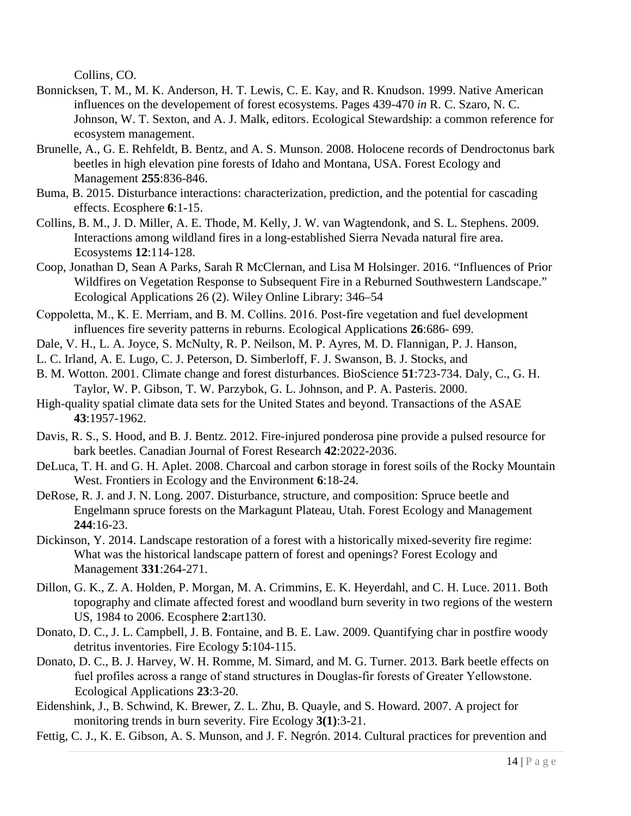Collins, CO.

- Bonnicksen, T. M., M. K. Anderson, H. T. Lewis, C. E. Kay, and R. Knudson. 1999. Native American influences on the developement of forest ecosystems. Pages 439-470 *in* R. C. Szaro, N. C. Johnson, W. T. Sexton, and A. J. Malk, editors. Ecological Stewardship: a common reference for ecosystem management.
- Brunelle, A., G. E. Rehfeldt, B. Bentz, and A. S. Munson. 2008. Holocene records of Dendroctonus bark beetles in high elevation pine forests of Idaho and Montana, USA. Forest Ecology and Management **255**:836-846.
- Buma, B. 2015. Disturbance interactions: characterization, prediction, and the potential for cascading effects. Ecosphere **6**:1-15.
- Collins, B. M., J. D. Miller, A. E. Thode, M. Kelly, J. W. van Wagtendonk, and S. L. Stephens. 2009. Interactions among wildland fires in a long-established Sierra Nevada natural fire area. Ecosystems **12**:114-128.
- Coop, Jonathan D, Sean A Parks, Sarah R McClernan, and Lisa M Holsinger. 2016. "Influences of Prior Wildfires on Vegetation Response to Subsequent Fire in a Reburned Southwestern Landscape." Ecological Applications 26 (2). Wiley Online Library: 346–54
- Coppoletta, M., K. E. Merriam, and B. M. Collins. 2016. Post‐fire vegetation and fuel development influences fire severity patterns in reburns. Ecological Applications **26**:686- 699.
- Dale, V. H., L. A. Joyce, S. McNulty, R. P. Neilson, M. P. Ayres, M. D. Flannigan, P. J. Hanson,
- L. C. Irland, A. E. Lugo, C. J. Peterson, D. Simberloff, F. J. Swanson, B. J. Stocks, and
- B. M. Wotton. 2001. Climate change and forest disturbances. BioScience **51**:723-734. Daly, C., G. H. Taylor, W. P. Gibson, T. W. Parzybok, G. L. Johnson, and P. A. Pasteris. 2000.
- High-quality spatial climate data sets for the United States and beyond. Transactions of the ASAE **43**:1957-1962.
- Davis, R. S., S. Hood, and B. J. Bentz. 2012. Fire-injured ponderosa pine provide a pulsed resource for bark beetles. Canadian Journal of Forest Research **42**:2022-2036.
- DeLuca, T. H. and G. H. Aplet. 2008. Charcoal and carbon storage in forest soils of the Rocky Mountain West. Frontiers in Ecology and the Environment **6**:18-24.
- DeRose, R. J. and J. N. Long. 2007. Disturbance, structure, and composition: Spruce beetle and Engelmann spruce forests on the Markagunt Plateau, Utah. Forest Ecology and Management **244**:16-23.
- Dickinson, Y. 2014. Landscape restoration of a forest with a historically mixed-severity fire regime: What was the historical landscape pattern of forest and openings? Forest Ecology and Management **331**:264-271.
- Dillon, G. K., Z. A. Holden, P. Morgan, M. A. Crimmins, E. K. Heyerdahl, and C. H. Luce. 2011. Both topography and climate affected forest and woodland burn severity in two regions of the western US, 1984 to 2006. Ecosphere **2**:art130.
- Donato, D. C., J. L. Campbell, J. B. Fontaine, and B. E. Law. 2009. Quantifying char in postfire woody detritus inventories. Fire Ecology **5**:104-115.
- Donato, D. C., B. J. Harvey, W. H. Romme, M. Simard, and M. G. Turner. 2013. Bark beetle effects on fuel profiles across a range of stand structures in Douglas-fir forests of Greater Yellowstone. Ecological Applications **23**:3-20.
- Eidenshink, J., B. Schwind, K. Brewer, Z. L. Zhu, B. Quayle, and S. Howard. 2007. A project for monitoring trends in burn severity. Fire Ecology **3(1)**:3-21.
- Fettig, C. J., K. E. Gibson, A. S. Munson, and J. F. Negrón. 2014. Cultural practices for prevention and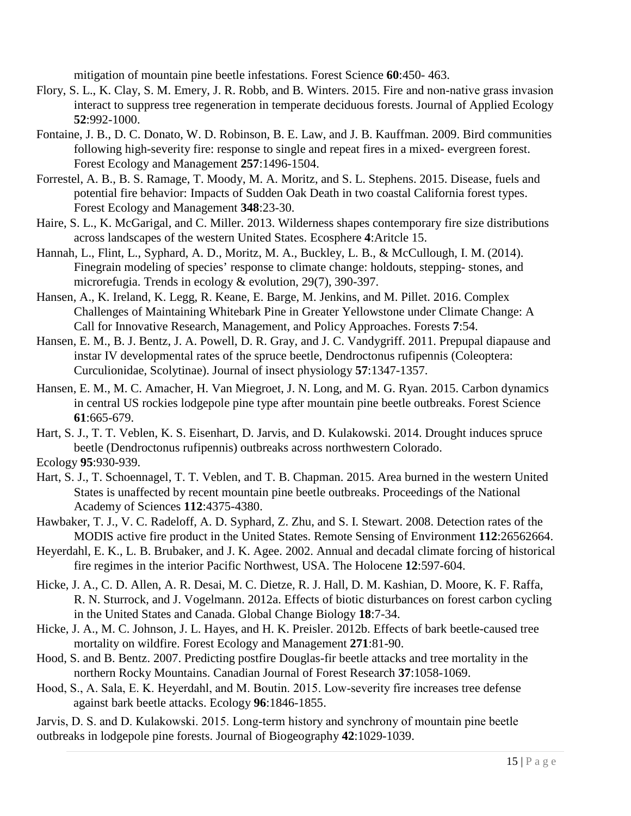mitigation of mountain pine beetle infestations. Forest Science **60**:450- 463.

- Flory, S. L., K. Clay, S. M. Emery, J. R. Robb, and B. Winters. 2015. Fire and non‐native grass invasion interact to suppress tree regeneration in temperate deciduous forests. Journal of Applied Ecology **52**:992-1000.
- Fontaine, J. B., D. C. Donato, W. D. Robinson, B. E. Law, and J. B. Kauffman. 2009. Bird communities following high-severity fire: response to single and repeat fires in a mixed- evergreen forest. Forest Ecology and Management **257**:1496-1504.
- Forrestel, A. B., B. S. Ramage, T. Moody, M. A. Moritz, and S. L. Stephens. 2015. Disease, fuels and potential fire behavior: Impacts of Sudden Oak Death in two coastal California forest types. Forest Ecology and Management **348**:23-30.
- Haire, S. L., K. McGarigal, and C. Miller. 2013. Wilderness shapes contemporary fire size distributions across landscapes of the western United States. Ecosphere **4**:Aritcle 15.
- Hannah, L., Flint, L., Syphard, A. D., Moritz, M. A., Buckley, L. B., & McCullough, I. M. (2014). Finegrain modeling of species' response to climate change: holdouts, stepping- stones, and microrefugia. Trends in ecology & evolution, 29(7), 390-397.
- Hansen, A., K. Ireland, K. Legg, R. Keane, E. Barge, M. Jenkins, and M. Pillet. 2016. Complex Challenges of Maintaining Whitebark Pine in Greater Yellowstone under Climate Change: A Call for Innovative Research, Management, and Policy Approaches. Forests **7**:54.
- Hansen, E. M., B. J. Bentz, J. A. Powell, D. R. Gray, and J. C. Vandygriff. 2011. Prepupal diapause and instar IV developmental rates of the spruce beetle, Dendroctonus rufipennis (Coleoptera: Curculionidae, Scolytinae). Journal of insect physiology **57**:1347-1357.
- Hansen, E. M., M. C. Amacher, H. Van Miegroet, J. N. Long, and M. G. Ryan. 2015. Carbon dynamics in central US rockies lodgepole pine type after mountain pine beetle outbreaks. Forest Science **61**:665-679.

Hart, S. J., T. T. Veblen, K. S. Eisenhart, D. Jarvis, and D. Kulakowski. 2014. Drought induces spruce beetle (Dendroctonus rufipennis) outbreaks across northwestern Colorado.

Ecology **95**:930-939.

- Hart, S. J., T. Schoennagel, T. T. Veblen, and T. B. Chapman. 2015. Area burned in the western United States is unaffected by recent mountain pine beetle outbreaks. Proceedings of the National Academy of Sciences **112**:4375-4380.
- Hawbaker, T. J., V. C. Radeloff, A. D. Syphard, Z. Zhu, and S. I. Stewart. 2008. Detection rates of the MODIS active fire product in the United States. Remote Sensing of Environment **112**:26562664.
- Heyerdahl, E. K., L. B. Brubaker, and J. K. Agee. 2002. Annual and decadal climate forcing of historical fire regimes in the interior Pacific Northwest, USA. The Holocene **12**:597-604.
- Hicke, J. A., C. D. Allen, A. R. Desai, M. C. Dietze, R. J. Hall, D. M. Kashian, D. Moore, K. F. Raffa, R. N. Sturrock, and J. Vogelmann. 2012a. Effects of biotic disturbances on forest carbon cycling in the United States and Canada. Global Change Biology **18**:7-34.
- Hicke, J. A., M. C. Johnson, J. L. Hayes, and H. K. Preisler. 2012b. Effects of bark beetle-caused tree mortality on wildfire. Forest Ecology and Management **271**:81-90.
- Hood, S. and B. Bentz. 2007. Predicting postfire Douglas-fir beetle attacks and tree mortality in the northern Rocky Mountains. Canadian Journal of Forest Research **37**:1058-1069.
- Hood, S., A. Sala, E. K. Heyerdahl, and M. Boutin. 2015. Low‐severity fire increases tree defense against bark beetle attacks. Ecology **96**:1846-1855.

Jarvis, D. S. and D. Kulakowski. 2015. Long‐term history and synchrony of mountain pine beetle outbreaks in lodgepole pine forests. Journal of Biogeography **42**:1029-1039.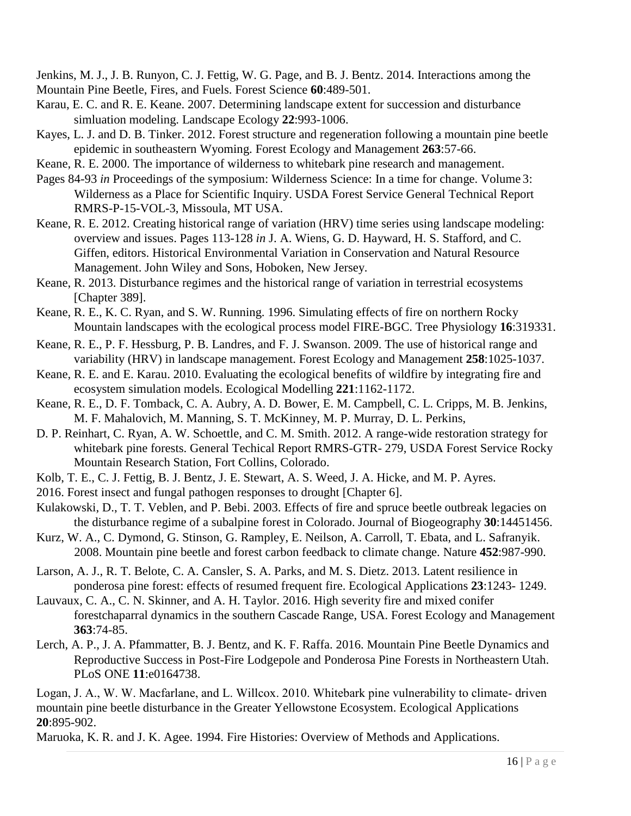Jenkins, M. J., J. B. Runyon, C. J. Fettig, W. G. Page, and B. J. Bentz. 2014. Interactions among the Mountain Pine Beetle, Fires, and Fuels. Forest Science **60**:489-501.

- Karau, E. C. and R. E. Keane. 2007. Determining landscape extent for succession and disturbance simluation modeling. Landscape Ecology **22**:993-1006.
- Kayes, L. J. and D. B. Tinker. 2012. Forest structure and regeneration following a mountain pine beetle epidemic in southeastern Wyoming. Forest Ecology and Management **263**:57-66.

Keane, R. E. 2000. The importance of wilderness to whitebark pine research and management.

- Pages 84-93 *in* Proceedings of the symposium: Wilderness Science: In a time for change. Volume 3: Wilderness as a Place for Scientific Inquiry. USDA Forest Service General Technical Report RMRS-P-15-VOL-3, Missoula, MT USA.
- Keane, R. E. 2012. Creating historical range of variation (HRV) time series using landscape modeling: overview and issues. Pages 113-128 *in* J. A. Wiens, G. D. Hayward, H. S. Stafford, and C. Giffen, editors. Historical Environmental Variation in Conservation and Natural Resource Management. John Wiley and Sons, Hoboken, New Jersey.
- Keane, R. 2013. Disturbance regimes and the historical range of variation in terrestrial ecosystems [Chapter 389].
- Keane, R. E., K. C. Ryan, and S. W. Running. 1996. Simulating effects of fire on northern Rocky Mountain landscapes with the ecological process model FIRE-BGC. Tree Physiology **16**:319331.
- Keane, R. E., P. F. Hessburg, P. B. Landres, and F. J. Swanson. 2009. The use of historical range and variability (HRV) in landscape management. Forest Ecology and Management **258**:1025-1037.
- Keane, R. E. and E. Karau. 2010. Evaluating the ecological benefits of wildfire by integrating fire and ecosystem simulation models. Ecological Modelling **221**:1162-1172.
- Keane, R. E., D. F. Tomback, C. A. Aubry, A. D. Bower, E. M. Campbell, C. L. Cripps, M. B. Jenkins, M. F. Mahalovich, M. Manning, S. T. McKinney, M. P. Murray, D. L. Perkins,
- D. P. Reinhart, C. Ryan, A. W. Schoettle, and C. M. Smith. 2012. A range-wide restoration strategy for whitebark pine forests. General Techical Report RMRS-GTR- 279, USDA Forest Service Rocky Mountain Research Station, Fort Collins, Colorado.
- Kolb, T. E., C. J. Fettig, B. J. Bentz, J. E. Stewart, A. S. Weed, J. A. Hicke, and M. P. Ayres.
- 2016. Forest insect and fungal pathogen responses to drought [Chapter 6].
- Kulakowski, D., T. T. Veblen, and P. Bebi. 2003. Effects of fire and spruce beetle outbreak legacies on the disturbance regime of a subalpine forest in Colorado. Journal of Biogeography **30**:14451456.
- Kurz, W. A., C. Dymond, G. Stinson, G. Rampley, E. Neilson, A. Carroll, T. Ebata, and L. Safranyik. 2008. Mountain pine beetle and forest carbon feedback to climate change. Nature **452**:987-990.
- Larson, A. J., R. T. Belote, C. A. Cansler, S. A. Parks, and M. S. Dietz. 2013. Latent resilience in ponderosa pine forest: effects of resumed frequent fire. Ecological Applications **23**:1243- 1249.
- Lauvaux, C. A., C. N. Skinner, and A. H. Taylor. 2016. High severity fire and mixed conifer forestchaparral dynamics in the southern Cascade Range, USA. Forest Ecology and Management **363**:74-85.
- Lerch, A. P., J. A. Pfammatter, B. J. Bentz, and K. F. Raffa. 2016. Mountain Pine Beetle Dynamics and Reproductive Success in Post-Fire Lodgepole and Ponderosa Pine Forests in Northeastern Utah. PLoS ONE **11**:e0164738.

Logan, J. A., W. W. Macfarlane, and L. Willcox. 2010. Whitebark pine vulnerability to climate‐ driven mountain pine beetle disturbance in the Greater Yellowstone Ecosystem. Ecological Applications **20**:895-902.

Maruoka, K. R. and J. K. Agee. 1994. Fire Histories: Overview of Methods and Applications.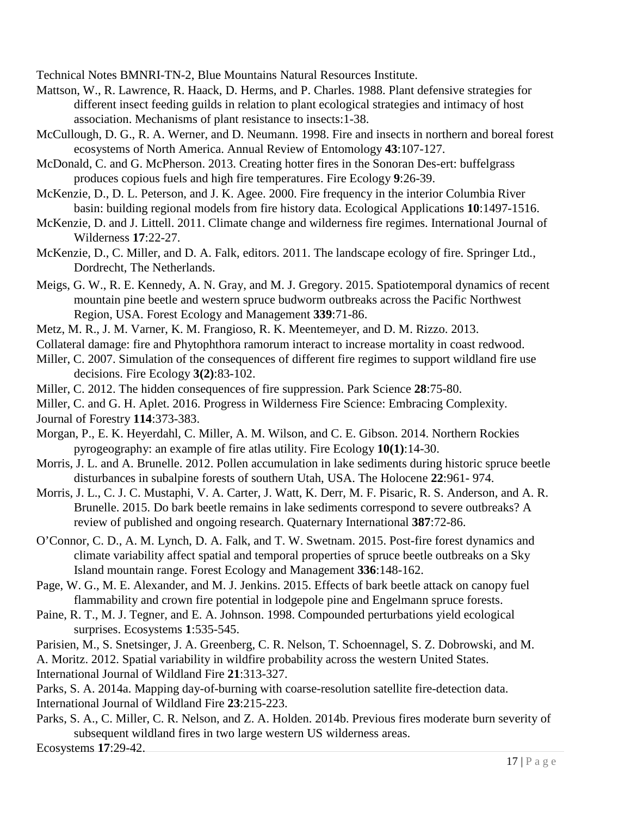Technical Notes BMNRI-TN-2, Blue Mountains Natural Resources Institute.

- Mattson, W., R. Lawrence, R. Haack, D. Herms, and P. Charles. 1988. Plant defensive strategies for different insect feeding guilds in relation to plant ecological strategies and intimacy of host association. Mechanisms of plant resistance to insects:1-38.
- McCullough, D. G., R. A. Werner, and D. Neumann. 1998. Fire and insects in northern and boreal forest ecosystems of North America. Annual Review of Entomology **43**:107-127.
- McDonald, C. and G. McPherson. 2013. Creating hotter fires in the Sonoran Des-ert: buffelgrass produces copious fuels and high fire temperatures. Fire Ecology **9**:26-39.
- McKenzie, D., D. L. Peterson, and J. K. Agee. 2000. Fire frequency in the interior Columbia River basin: building regional models from fire history data. Ecological Applications **10**:1497-1516.
- McKenzie, D. and J. Littell. 2011. Climate change and wilderness fire regimes. International Journal of Wilderness **17**:22-27.
- McKenzie, D., C. Miller, and D. A. Falk, editors. 2011. The landscape ecology of fire. Springer Ltd., Dordrecht, The Netherlands.
- Meigs, G. W., R. E. Kennedy, A. N. Gray, and M. J. Gregory. 2015. Spatiotemporal dynamics of recent mountain pine beetle and western spruce budworm outbreaks across the Pacific Northwest Region, USA. Forest Ecology and Management **339**:71-86.
- Metz, M. R., J. M. Varner, K. M. Frangioso, R. K. Meentemeyer, and D. M. Rizzo. 2013.
- Collateral damage: fire and Phytophthora ramorum interact to increase mortality in coast redwood.
- Miller, C. 2007. Simulation of the consequences of different fire regimes to support wildland fire use decisions. Fire Ecology **3(2)**:83-102.
- Miller, C. 2012. The hidden consequences of fire suppression. Park Science **28**:75-80.
- Miller, C. and G. H. Aplet. 2016. Progress in Wilderness Fire Science: Embracing Complexity. Journal of Forestry **114**:373-383.
- Morgan, P., E. K. Heyerdahl, C. Miller, A. M. Wilson, and C. E. Gibson. 2014. Northern Rockies pyrogeography: an example of fire atlas utility. Fire Ecology **10(1)**:14-30.
- Morris, J. L. and A. Brunelle. 2012. Pollen accumulation in lake sediments during historic spruce beetle disturbances in subalpine forests of southern Utah, USA. The Holocene **22**:961- 974.
- Morris, J. L., C. J. C. Mustaphi, V. A. Carter, J. Watt, K. Derr, M. F. Pisaric, R. S. Anderson, and A. R. Brunelle. 2015. Do bark beetle remains in lake sediments correspond to severe outbreaks? A review of published and ongoing research. Quaternary International **387**:72-86.
- O'Connor, C. D., A. M. Lynch, D. A. Falk, and T. W. Swetnam. 2015. Post-fire forest dynamics and climate variability affect spatial and temporal properties of spruce beetle outbreaks on a Sky Island mountain range. Forest Ecology and Management **336**:148-162.
- Page, W. G., M. E. Alexander, and M. J. Jenkins. 2015. Effects of bark beetle attack on canopy fuel flammability and crown fire potential in lodgepole pine and Engelmann spruce forests.
- Paine, R. T., M. J. Tegner, and E. A. Johnson. 1998. Compounded perturbations yield ecological surprises. Ecosystems **1**:535-545.
- Parisien, M., S. Snetsinger, J. A. Greenberg, C. R. Nelson, T. Schoennagel, S. Z. Dobrowski, and M.

A. Moritz. 2012. Spatial variability in wildfire probability across the western United States. International Journal of Wildland Fire **21**:313-327.

Parks, S. A. 2014a. Mapping day-of-burning with coarse-resolution satellite fire-detection data. International Journal of Wildland Fire **23**:215-223.

Parks, S. A., C. Miller, C. R. Nelson, and Z. A. Holden. 2014b. Previous fires moderate burn severity of subsequent wildland fires in two large western US wilderness areas.

Ecosystems **17**:29-42.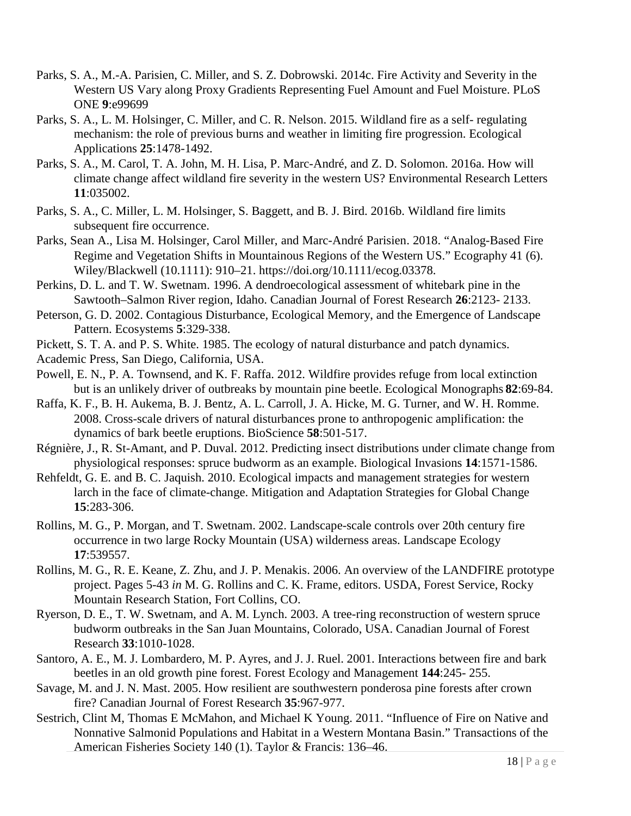- Parks, S. A., M.-A. Parisien, C. Miller, and S. Z. Dobrowski. 2014c. Fire Activity and Severity in the Western US Vary along Proxy Gradients Representing Fuel Amount and Fuel Moisture. PLoS ONE **9**:e99699
- Parks, S. A., L. M. Holsinger, C. Miller, and C. R. Nelson. 2015. Wildland fire as a self- regulating mechanism: the role of previous burns and weather in limiting fire progression. Ecological Applications **25**:1478-1492.
- Parks, S. A., M. Carol, T. A. John, M. H. Lisa, P. Marc-André, and Z. D. Solomon. 2016a. How will climate change affect wildland fire severity in the western US? Environmental Research Letters **11**:035002.
- Parks, S. A., C. Miller, L. M. Holsinger, S. Baggett, and B. J. Bird. 2016b. Wildland fire limits subsequent fire occurrence.
- Parks, Sean A., Lisa M. Holsinger, Carol Miller, and Marc-André Parisien. 2018. "Analog-Based Fire Regime and Vegetation Shifts in Mountainous Regions of the Western US." Ecography 41 (6). Wiley/Blackwell (10.1111): 910–21. https://doi.org/10.1111/ecog.03378.
- Perkins, D. L. and T. W. Swetnam. 1996. A dendroecological assessment of whitebark pine in the Sawtooth–Salmon River region, Idaho. Canadian Journal of Forest Research **26**:2123- 2133.
- Peterson, G. D. 2002. Contagious Disturbance, Ecological Memory, and the Emergence of Landscape Pattern. Ecosystems **5**:329-338.
- Pickett, S. T. A. and P. S. White. 1985. The ecology of natural disturbance and patch dynamics.
- Academic Press, San Diego, California, USA.
- Powell, E. N., P. A. Townsend, and K. F. Raffa. 2012. Wildfire provides refuge from local extinction but is an unlikely driver of outbreaks by mountain pine beetle. Ecological Monographs **82**:69-84.
- Raffa, K. F., B. H. Aukema, B. J. Bentz, A. L. Carroll, J. A. Hicke, M. G. Turner, and W. H. Romme. 2008. Cross-scale drivers of natural disturbances prone to anthropogenic amplification: the dynamics of bark beetle eruptions. BioScience **58**:501-517.
- Régnière, J., R. St-Amant, and P. Duval. 2012. Predicting insect distributions under climate change from physiological responses: spruce budworm as an example. Biological Invasions **14**:1571-1586.
- Rehfeldt, G. E. and B. C. Jaquish. 2010. Ecological impacts and management strategies for western larch in the face of climate-change. Mitigation and Adaptation Strategies for Global Change **15**:283-306.
- Rollins, M. G., P. Morgan, and T. Swetnam. 2002. Landscape-scale controls over 20th century fire occurrence in two large Rocky Mountain (USA) wilderness areas. Landscape Ecology **17**:539557.
- Rollins, M. G., R. E. Keane, Z. Zhu, and J. P. Menakis. 2006. An overview of the LANDFIRE prototype project. Pages 5-43 *in* M. G. Rollins and C. K. Frame, editors. USDA, Forest Service, Rocky Mountain Research Station, Fort Collins, CO.
- Ryerson, D. E., T. W. Swetnam, and A. M. Lynch. 2003. A tree-ring reconstruction of western spruce budworm outbreaks in the San Juan Mountains, Colorado, USA. Canadian Journal of Forest Research **33**:1010-1028.
- Santoro, A. E., M. J. Lombardero, M. P. Ayres, and J. J. Ruel. 2001. Interactions between fire and bark beetles in an old growth pine forest. Forest Ecology and Management **144**:245- 255.
- Savage, M. and J. N. Mast. 2005. How resilient are southwestern ponderosa pine forests after crown fire? Canadian Journal of Forest Research **35**:967-977.
- Sestrich, Clint M, Thomas E McMahon, and Michael K Young. 2011. "Influence of Fire on Native and Nonnative Salmonid Populations and Habitat in a Western Montana Basin." Transactions of the American Fisheries Society 140 (1). Taylor & Francis: 136–46.